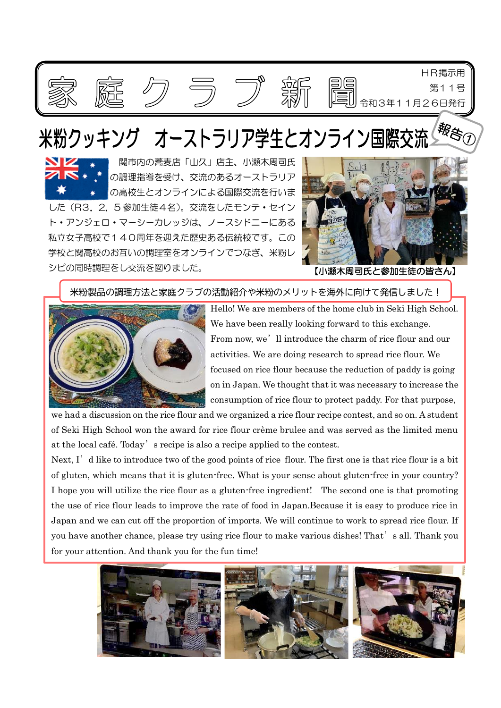

## 米粉クッキング オーストラリア学生とオンライン国際



関市内の蕎麦店「山久」店主、小瀬木周司氏 の調理指導を受け、交流のあるオーストラリア の高校生とオンラインによる国際交流を行いま した(R3.2.5 参加生徒4名)。交流をしたモンテ・セイン

ト・アンジェロ・マーシーカレッジは、ノースシドニーにある 私立女子高校で140周年を迎えた歴史ある伝統校です。この 学校と関高校のお互いの調理室をオンラインでつなぎ、米粉レ シピの同時調理をし交流を図りました。



【小瀬木周司氏と参加生徒の皆さん】

米粉製品の調理方法と家庭クラブの活動紹介や米粉のメリットを海外に向けて発信しました!



Hello! We are members of the home club in Seki High School. We have been really looking forward to this exchange. From now, we'll introduce the charm of rice flour and our activities. We are doing research to spread rice flour. We focused on rice flour because the reduction of paddy is going on in Japan. We thought that it was necessary to increase the consumption of rice flour to protect paddy. For that purpose,

we had a discussion on the rice flour and we organized a rice flour recipe contest, and so on. A student of Seki High School won the award for rice flour crème brulee and was served as the limited menu at the local café. Today's recipe is also a recipe applied to the contest.

Next, I'd like to introduce two of the good points of rice flour. The first one is that rice flour is a bit of gluten, which means that it is gluten-free. What is your sense about gluten-free in your country? I hope you will utilize the rice flour as a gluten-free ingredient! The second one is that promoting the use of rice flour leads to improve the rate of food in Japan.Because it is easy to produce rice in Japan and we can cut off the proportion of imports. We will continue to work to spread rice flour. If you have another chance, please try using rice flour to make various dishes! That's all. Thank you for your attention. And thank you for the fun time!